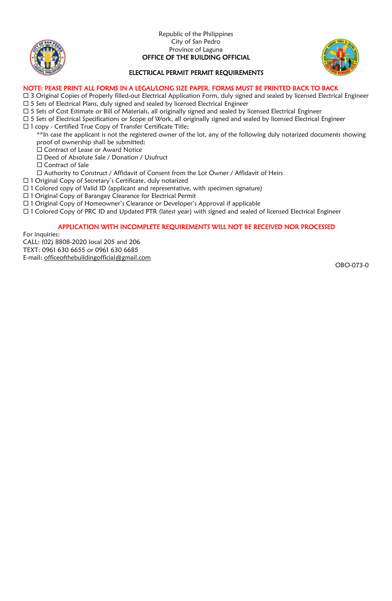



# ELECTRICAL PERMIT PERMIT REQUIREMENTS

#### NOTE: PEASE PRINT ALL FORMS IN A LEGAL/LONG SIZE PAPER. FORMS MUST BE PRINTED BACK TO BACK

- □ 3 Original Copies of Properly filled-out Electrical Application Form, duly signed and sealed by licensed Electrical Engineer
- $\square$  5 Sets of Electrical Plans, duly signed and sealed by licensed Electrical Engineer
- 5 Sets of Cost Estimate or Bill of Materials, all originally signed and sealed by licensed Electrical Engineer
- □ 5 Sets of Electrical Specifications or Scope of Work, all originally signed and sealed by licensed Electrical Engineer 1 copy - Certified True Copy of Transfer Certificate Title;
	- \*\*In case the applicant is not the registered owner of the lot, any of the following duly notarized documents showing proof of ownership shall be submitted:
	- Contract of Lease or Award Notice
	- □ Deed of Absolute Sale / Donation / Usufruct
	- □ Contract of Sale
	- Authority to Construct / Affidavit of Consent from the Lot Owner / Affidavit of Heirs
- 1 Original Copy of Secretary's Certificate, duly notarized
- $\Box$  1 Colored copy of Valid ID (applicant and representative, with specimen signature)
- □ 1 Original Copy of Barangay Clearance for Electrical Permit
- 1 Original Copy of Homeowner's Clearance or Developer's Approval if applicable
- □ 1 Colored Copy of PRC ID and Updated PTR (latest year) with signed and sealed of licensed Electrical Engineer

# APPLICATION WITH INCOMPLETE REQUIREMENTS WILL NOT BE RECEIVED NOR PROCESSED

For inquiries:

CALL: (02) 8808-2020 local 205 and 206

TEXT: 0961 630 6655 or 0961 630 6685 E-mail: [officeofthebuildingofficial@gmail.com](mailto:officeofthebuildingofficial@gmail.com)

OBO-073-0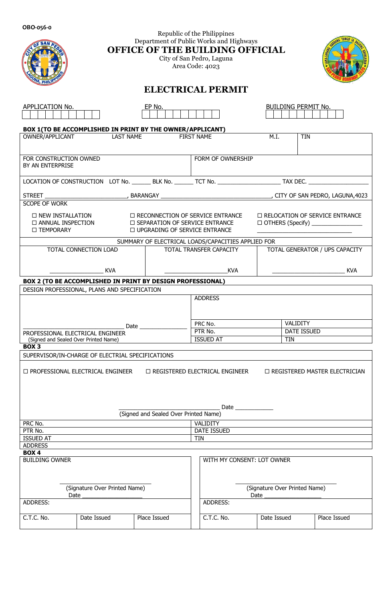| OBO-056-0                                                                                                                                                                                                                                                       |                                                            |                                                    |            |                                       |                                |                               |                                 |  |  |  |  |  |
|-----------------------------------------------------------------------------------------------------------------------------------------------------------------------------------------------------------------------------------------------------------------|------------------------------------------------------------|----------------------------------------------------|------------|---------------------------------------|--------------------------------|-------------------------------|---------------------------------|--|--|--|--|--|
| Republic of the Philippines<br>Department of Public Works and Highways<br>OFFICE OF THE BUILDING OFFICIAL<br>City of San Pedro, Laguna<br>Area Code: 4023                                                                                                       |                                                            |                                                    |            |                                       |                                |                               |                                 |  |  |  |  |  |
| <b>ELECTRICAL PERMIT</b>                                                                                                                                                                                                                                        |                                                            |                                                    |            |                                       |                                |                               |                                 |  |  |  |  |  |
| APPLICATION No.                                                                                                                                                                                                                                                 |                                                            | EP No.                                             |            |                                       |                                | <b>BUILDING PERMIT No.</b>    |                                 |  |  |  |  |  |
|                                                                                                                                                                                                                                                                 | BOX 1(TO BE ACCOMPLISHED IN PRINT BY THE OWNER/APPLICANT)  |                                                    |            |                                       | M.I.                           | <b>TIN</b>                    |                                 |  |  |  |  |  |
| OWNER/APPLICANT                                                                                                                                                                                                                                                 | <b>LAST NAME</b>                                           | <b>FIRST NAME</b>                                  |            |                                       |                                |                               |                                 |  |  |  |  |  |
| FOR CONSTRUCTION OWNED<br>BY AN ENTERPRISE                                                                                                                                                                                                                      |                                                            |                                                    |            | FORM OF OWNERSHIP                     |                                |                               |                                 |  |  |  |  |  |
|                                                                                                                                                                                                                                                                 |                                                            |                                                    |            |                                       |                                |                               |                                 |  |  |  |  |  |
|                                                                                                                                                                                                                                                                 |                                                            |                                                    |            |                                       |                                |                               |                                 |  |  |  |  |  |
| SCOPE OF WORK                                                                                                                                                                                                                                                   |                                                            |                                                    |            |                                       |                                |                               |                                 |  |  |  |  |  |
| <b>D NEW INSTALLATION</b><br>□ RECONNECTION OF SERVICE ENTRANCE<br>□ RELOCATION OF SERVICE ENTRANCE<br>□ ANNUAL INSPECTION<br><b>ID SEPARATION OF SERVICE ENTRANCE</b><br>□ OTHERS (Specify) ________________<br>□ UPGRADING OF SERVICE ENTRANCE<br>□ TEMPORARY |                                                            |                                                    |            |                                       |                                |                               |                                 |  |  |  |  |  |
|                                                                                                                                                                                                                                                                 |                                                            | SUMMARY OF ELECTRICAL LOADS/CAPACITIES APPLIED FOR |            |                                       |                                |                               |                                 |  |  |  |  |  |
| TOTAL CONNECTION LOAD                                                                                                                                                                                                                                           |                                                            |                                                    |            | TOTAL TRANSFER CAPACITY               | TOTAL GENERATOR / UPS CAPACITY |                               |                                 |  |  |  |  |  |
|                                                                                                                                                                                                                                                                 | <b>KVA</b>                                                 |                                                    |            | <b>KVA</b>                            |                                |                               | <b>KVA</b>                      |  |  |  |  |  |
|                                                                                                                                                                                                                                                                 | BOX 2 (TO BE ACCOMPLISHED IN PRINT BY DESIGN PROFESSIONAL) |                                                    |            |                                       |                                |                               |                                 |  |  |  |  |  |
|                                                                                                                                                                                                                                                                 | DESIGN PROFESSIONAL, PLANS AND SPECIFICATION               |                                                    |            |                                       |                                |                               |                                 |  |  |  |  |  |
|                                                                                                                                                                                                                                                                 |                                                            |                                                    |            | <b>ADDRESS</b>                        |                                |                               |                                 |  |  |  |  |  |
|                                                                                                                                                                                                                                                                 |                                                            |                                                    |            |                                       |                                |                               |                                 |  |  |  |  |  |
| Date have a series of the series of the series of the series of the series of the series of the series of the series of the series of the series of the series of the series of the series of the series of the series of the                                   |                                                            |                                                    |            | PRC No.                               |                                | VALIDITY                      |                                 |  |  |  |  |  |
| PROFESSIONAL ELECTRICAL ENGINEER<br>(Signed and Sealed Over Printed Name)                                                                                                                                                                                       |                                                            |                                                    |            | PTR No.<br><b>ISSUED AT</b>           |                                | DATE ISSUED<br><b>TIN</b>     |                                 |  |  |  |  |  |
| BOX <sub>3</sub>                                                                                                                                                                                                                                                |                                                            |                                                    |            |                                       |                                |                               |                                 |  |  |  |  |  |
|                                                                                                                                                                                                                                                                 | SUPERVISOR/IN-CHARGE OF ELECTRIAL SPECIFICATIONS           |                                                    |            |                                       |                                |                               |                                 |  |  |  |  |  |
|                                                                                                                                                                                                                                                                 | □ PROFESSIONAL ELECTRICAL ENGINEER                         | (Signed and Sealed Over Printed Name)              |            | $\Box$ registered electrical engineer |                                |                               | □ REGISTERED MASTER ELECTRICIAN |  |  |  |  |  |
| PRC No.<br>PTR No.                                                                                                                                                                                                                                              |                                                            |                                                    |            | VALIDITY<br>DATE ISSUED               |                                |                               |                                 |  |  |  |  |  |
| <b>ISSUED AT</b>                                                                                                                                                                                                                                                |                                                            |                                                    | <b>TIN</b> |                                       |                                |                               |                                 |  |  |  |  |  |
| <b>ADDRESS</b>                                                                                                                                                                                                                                                  |                                                            |                                                    |            |                                       |                                |                               |                                 |  |  |  |  |  |
| <b>BOX4</b><br><b>BUILDING OWNER</b>                                                                                                                                                                                                                            |                                                            |                                                    |            | WITH MY CONSENT: LOT OWNER            |                                |                               |                                 |  |  |  |  |  |
| Date                                                                                                                                                                                                                                                            | (Signature Over Printed Name)                              |                                                    |            |                                       | Date                           | (Signature Over Printed Name) |                                 |  |  |  |  |  |
| ADDRESS:                                                                                                                                                                                                                                                        |                                                            |                                                    |            | ADDRESS:                              |                                |                               |                                 |  |  |  |  |  |
| C.T.C. No.                                                                                                                                                                                                                                                      | Date Issued                                                | Place Issued                                       |            | C.T.C. No.                            | Date Issued                    |                               | Place Issued                    |  |  |  |  |  |
|                                                                                                                                                                                                                                                                 |                                                            |                                                    |            |                                       |                                |                               |                                 |  |  |  |  |  |